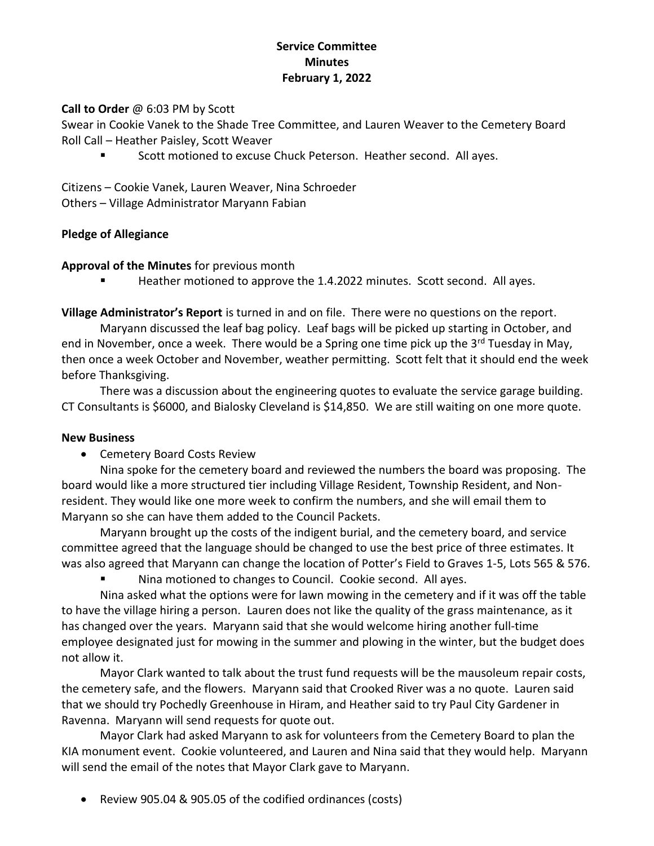# **Service Committee Minutes February 1, 2022**

## **Call to Order** @ 6:03 PM by Scott

Swear in Cookie Vanek to the Shade Tree Committee, and Lauren Weaver to the Cemetery Board Roll Call – Heather Paisley, Scott Weaver

Scott motioned to excuse Chuck Peterson. Heather second. All ayes.

Citizens – Cookie Vanek, Lauren Weaver, Nina Schroeder Others – Village Administrator Maryann Fabian

## **Pledge of Allegiance**

#### **Approval of the Minutes** for previous month

Heather motioned to approve the 1.4.2022 minutes. Scott second. All ayes.

**Village Administrator's Report** is turned in and on file. There were no questions on the report.

Maryann discussed the leaf bag policy. Leaf bags will be picked up starting in October, and end in November, once a week. There would be a Spring one time pick up the  $3^{rd}$  Tuesday in May, then once a week October and November, weather permitting. Scott felt that it should end the week before Thanksgiving.

There was a discussion about the engineering quotes to evaluate the service garage building. CT Consultants is \$6000, and Bialosky Cleveland is \$14,850. We are still waiting on one more quote.

#### **New Business**

• Cemetery Board Costs Review

Nina spoke for the cemetery board and reviewed the numbers the board was proposing. The board would like a more structured tier including Village Resident, Township Resident, and Nonresident. They would like one more week to confirm the numbers, and she will email them to Maryann so she can have them added to the Council Packets.

Maryann brought up the costs of the indigent burial, and the cemetery board, and service committee agreed that the language should be changed to use the best price of three estimates. It was also agreed that Maryann can change the location of Potter's Field to Graves 1-5, Lots 565 & 576.

Nina motioned to changes to Council. Cookie second. All ayes.

Nina asked what the options were for lawn mowing in the cemetery and if it was off the table to have the village hiring a person. Lauren does not like the quality of the grass maintenance, as it has changed over the years. Maryann said that she would welcome hiring another full-time employee designated just for mowing in the summer and plowing in the winter, but the budget does not allow it.

Mayor Clark wanted to talk about the trust fund requests will be the mausoleum repair costs, the cemetery safe, and the flowers. Maryann said that Crooked River was a no quote. Lauren said that we should try Pochedly Greenhouse in Hiram, and Heather said to try Paul City Gardener in Ravenna. Maryann will send requests for quote out.

Mayor Clark had asked Maryann to ask for volunteers from the Cemetery Board to plan the KIA monument event. Cookie volunteered, and Lauren and Nina said that they would help. Maryann will send the email of the notes that Mayor Clark gave to Maryann.

• Review 905.04 & 905.05 of the codified ordinances (costs)